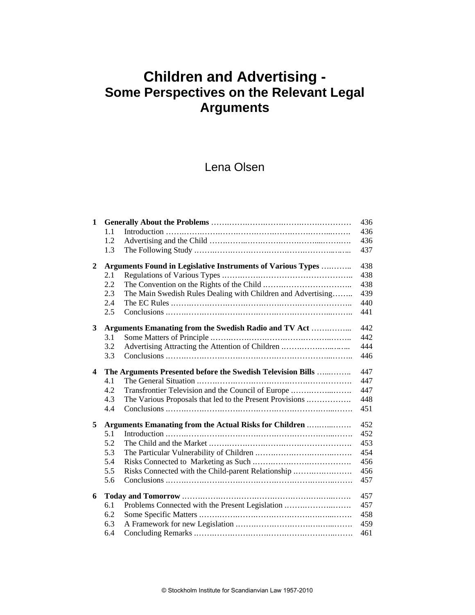# **Children and Advertising - Some Perspectives on the Relevant Legal Arguments**

## Lena Olsen

| $\mathbf{1}$ |                                                                     |                                                              | 436 |
|--------------|---------------------------------------------------------------------|--------------------------------------------------------------|-----|
|              | 1.1                                                                 |                                                              | 436 |
|              | 1.2                                                                 |                                                              | 436 |
|              | 1.3                                                                 |                                                              | 437 |
| $\mathbf{2}$ | <b>Arguments Found in Legislative Instruments of Various Types </b> |                                                              | 438 |
|              | 2.1                                                                 |                                                              | 438 |
|              | 2.2                                                                 |                                                              | 438 |
|              | 2.3                                                                 | The Main Swedish Rules Dealing with Children and Advertising | 439 |
|              | 2.4                                                                 |                                                              | 440 |
|              | 2.5                                                                 |                                                              | 441 |
| 3            |                                                                     | Arguments Emanating from the Swedish Radio and TV Act        | 442 |
|              | 3.1                                                                 |                                                              | 442 |
|              | 3.2                                                                 | Advertising Attracting the Attention of Children             | 444 |
|              | 3.3                                                                 |                                                              | 446 |
| 4            | The Arguments Presented before the Swedish Television Bills         |                                                              | 447 |
|              | 4.1                                                                 |                                                              | 447 |
|              | 4.2                                                                 | Transfrontier Television and the Council of Europe           | 447 |
|              | 4.3                                                                 | The Various Proposals that led to the Present Provisions     | 448 |
|              | 4.4                                                                 |                                                              | 451 |
| 5            |                                                                     | Arguments Emanating from the Actual Risks for Children       | 452 |
|              | 5.1                                                                 |                                                              | 452 |
|              | 5.2                                                                 |                                                              | 453 |
|              | 5.3                                                                 |                                                              | 454 |
|              | 5.4                                                                 |                                                              | 456 |
|              | 5.5                                                                 | Risks Connected with the Child-parent Relationship           | 456 |
|              | 5.6                                                                 |                                                              | 457 |
| 6            |                                                                     |                                                              | 457 |
|              | 6.1                                                                 | Problems Connected with the Present Legislation              | 457 |
|              | 6.2                                                                 |                                                              | 458 |
|              | 6.3                                                                 |                                                              | 459 |
|              | 6.4                                                                 |                                                              | 461 |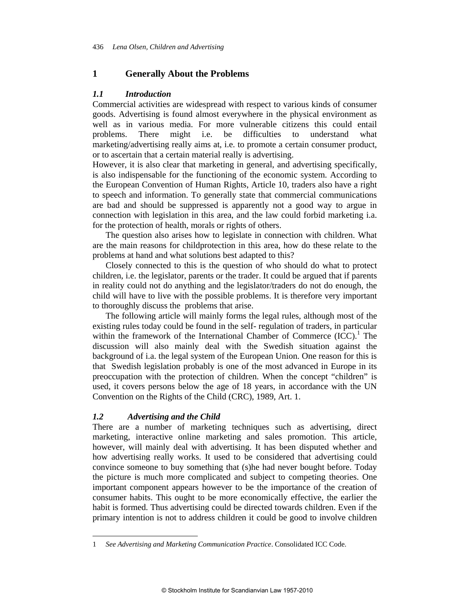## **1 Generally About the Problems**

## *1.1 Introduction*

Commercial activities are widespread with respect to various kinds of consumer goods. Advertising is found almost everywhere in the physical environment as well as in various media. For more vulnerable citizens this could entail problems. There might i.e. be difficulties to understand what marketing/advertising really aims at, i.e. to promote a certain consumer product, or to ascertain that a certain material really is advertising.

However, it is also clear that marketing in general, and advertising specifically, is also indispensable for the functioning of the economic system. According to the European Convention of Human Rights, Article 10, traders also have a right to speech and information. To generally state that commercial communications are bad and should be suppressed is apparently not a good way to argue in connection with legislation in this area, and the law could forbid marketing i.a. for the protection of health, morals or rights of others.

The question also arises how to legislate in connection with children. What are the main reasons for childprotection in this area, how do these relate to the problems at hand and what solutions best adapted to this?

Closely connected to this is the question of who should do what to protect children, i.e. the legislator, parents or the trader. It could be argued that if parents in reality could not do anything and the legislator/traders do not do enough, the child will have to live with the possible problems. It is therefore very important to thoroughly discuss the problems that arise.

The following article will mainly forms the legal rules, although most of the existing rules today could be found in the self- regulation of traders, in particular within the framework of the International Chamber of Commerce  $(ICC)^1$ . The discussion will also mainly deal with the Swedish situation against the background of i.a. the legal system of the European Union. One reason for this is that Swedish legislation probably is one of the most advanced in Europe in its preoccupation with the protection of children. When the concept "children" is used, it covers persons below the age of 18 years, in accordance with the UN Convention on the Rights of the Child (CRC), 1989, Art. 1.

#### *1.2 Advertising and the Child*

 $\overline{a}$ 

There are a number of marketing techniques such as advertising, direct marketing, interactive online marketing and sales promotion. This article, however, will mainly deal with advertising. It has been disputed whether and how advertising really works. It used to be considered that advertising could convince someone to buy something that (s)he had never bought before. Today the picture is much more complicated and subject to competing theories. One important component appears however to be the importance of the creation of consumer habits. This ought to be more economically effective, the earlier the habit is formed. Thus advertising could be directed towards children. Even if the primary intention is not to address children it could be good to involve children

<sup>1</sup> *See Advertising and Marketing Communication Practice*. Consolidated ICC Code.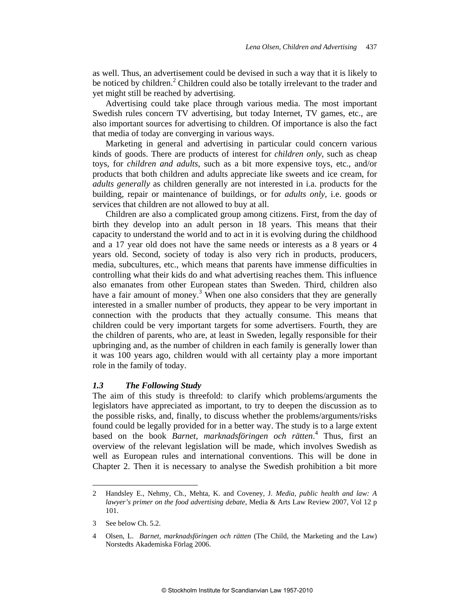as well. Thus, an advertisement could be devised in such a way that it is likely to be noticed by children.<sup>2</sup> Children could also be totally irrelevant to the trader and yet might still be reached by advertising.

Advertising could take place through various media. The most important Swedish rules concern TV advertising, but today Internet, TV games, etc., are also important sources for advertising to children. Of importance is also the fact that media of today are converging in various ways.

Marketing in general and advertising in particular could concern various kinds of goods. There are products of interest for *children only*, such as cheap toys, for *children and adults*, such as a bit more expensive toys, etc., and/or products that both children and adults appreciate like sweets and ice cream, for *adults generally* as children generally are not interested in i.a. products for the building, repair or maintenance of buildings, or for *adults only*, i.e. goods or services that children are not allowed to buy at all.

Children are also a complicated group among citizens. First, from the day of birth they develop into an adult person in 18 years. This means that their capacity to understand the world and to act in it is evolving during the childhood and a 17 year old does not have the same needs or interests as a 8 years or 4 years old. Second, society of today is also very rich in products, producers, media, subcultures, etc., which means that parents have immense difficulties in controlling what their kids do and what advertising reaches them. This influence also emanates from other European states than Sweden. Third, children also have a fair amount of money.<sup>3</sup> When one also considers that they are generally interested in a smaller number of products, they appear to be very important in connection with the products that they actually consume. This means that children could be very important targets for some advertisers. Fourth, they are the children of parents, who are, at least in Sweden, legally responsible for their upbringing and, as the number of children in each family is generally lower than it was 100 years ago, children would with all certainty play a more important role in the family of today.

#### *1.3 The Following Study*

The aim of this study is threefold: to clarify which problems/arguments the legislators have appreciated as important, to try to deepen the discussion as to the possible risks, and, finally, to discuss whether the problems/arguments/risks found could be legally provided for in a better way. The study is to a large extent based on the book *Barnet, marknadsföringen och rätten*. 4 Thus, first an overview of the relevant legislation will be made, which involves Swedish as well as European rules and international conventions. This will be done in Chapter 2. Then it is necessary to analyse the Swedish prohibition a bit more

<sup>2</sup> Handsley E., Nehmy, Ch., Mehta, K. and Coveney, J. *Media, public health and law: A lawyer's primer on the food advertising debate*, Media & Arts Law Review 2007, Vol 12 p 101.

<sup>3</sup> See below Ch. 5.2.

<sup>4</sup> Olsen, L. *Barnet, marknadsföringen och rätten* (The Child, the Marketing and the Law) Norstedts Akademiska Förlag 2006.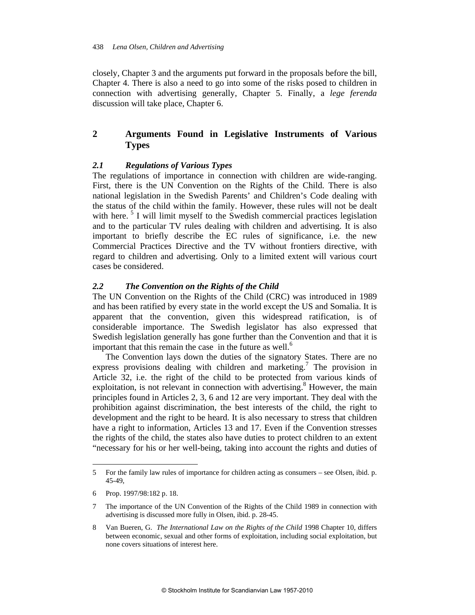closely, Chapter 3 and the arguments put forward in the proposals before the bill, Chapter 4. There is also a need to go into some of the risks posed to children in connection with advertising generally, Chapter 5. Finally, a *lege ferenda* discussion will take place, Chapter 6.

## **2 Arguments Found in Legislative Instruments of Various Types**

## *2.1 Regulations of Various Types*

The regulations of importance in connection with children are wide-ranging. First, there is the UN Convention on the Rights of the Child. There is also national legislation in the Swedish Parents' and Children's Code dealing with the status of the child within the family. However, these rules will not be dealt with here.<sup>5</sup> I will limit myself to the Swedish commercial practices legislation and to the particular TV rules dealing with children and advertising. It is also important to briefly describe the EC rules of significance, i.e. the new Commercial Practices Directive and the TV without frontiers directive, with regard to children and advertising. Only to a limited extent will various court cases be considered.

## *2.2 The Convention on the Rights of the Child*

The UN Convention on the Rights of the Child (CRC) was introduced in 1989 and has been ratified by every state in the world except the US and Somalia. It is apparent that the convention, given this widespread ratification, is of considerable importance. The Swedish legislator has also expressed that Swedish legislation generally has gone further than the Convention and that it is important that this remain the case in the future as well. $<sup>6</sup>$ </sup>

The Convention lays down the duties of the signatory States. There are no express provisions dealing with children and marketing.<sup>7</sup> The provision in Article 32, i.e. the right of the child to be protected from various kinds of exploitation, is not relevant in connection with advertising.<sup>8</sup> However, the main principles found in Articles 2, 3, 6 and 12 are very important. They deal with the prohibition against discrimination, the best interests of the child, the right to development and the right to be heard. It is also necessary to stress that children have a right to information, Articles 13 and 17. Even if the Convention stresses the rights of the child, the states also have duties to protect children to an extent "necessary for his or her well-being, taking into account the rights and duties of

<sup>5</sup> For the family law rules of importance for children acting as consumers – see Olsen, ibid. p. 45-49,

<sup>6</sup> Prop. 1997/98:182 p. 18.

<sup>7</sup> The importance of the UN Convention of the Rights of the Child 1989 in connection with advertising is discussed more fully in Olsen, ibid. p. 28-45.

<sup>8</sup> Van Bueren, G. *The International Law on the Rights of the Child* 1998 Chapter 10, differs between economic, sexual and other forms of exploitation, including social exploitation, but none covers situations of interest here.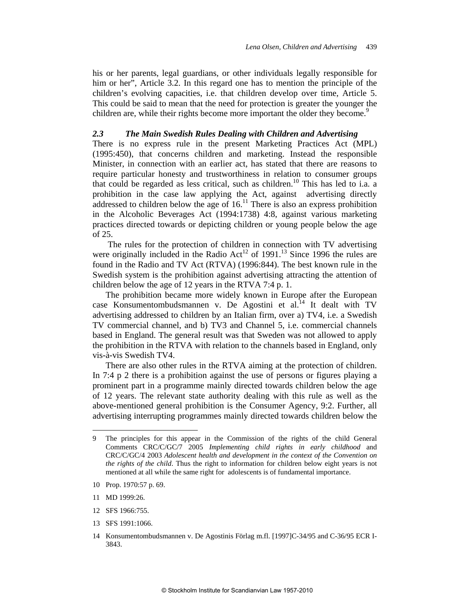his or her parents, legal guardians, or other individuals legally responsible for him or her", Article 3.2. In this regard one has to mention the principle of the children's evolving capacities, i.e. that children develop over time, Article 5. This could be said to mean that the need for protection is greater the younger the children are, while their rights become more important the older they become.<sup>9</sup>

#### *2.3 The Main Swedish Rules Dealing with Children and Advertising*

There is no express rule in the present Marketing Practices Act (MPL) (1995:450), that concerns children and marketing. Instead the responsible Minister, in connection with an earlier act, has stated that there are reasons to require particular honesty and trustworthiness in relation to consumer groups that could be regarded as less critical, such as children.<sup>10</sup> This has led to i.a. a prohibition in the case law applying the Act, against advertising directly addressed to children below the age of  $16<sup>11</sup>$ . There is also an express prohibition in the Alcoholic Beverages Act (1994:1738) 4:8, against various marketing practices directed towards or depicting children or young people below the age of 25.

 The rules for the protection of children in connection with TV advertising were originally included in the Radio Act<sup>12</sup> of 1991.<sup>13</sup> Since 1996 the rules are found in the Radio and TV Act (RTVA) (1996:844). The best known rule in the Swedish system is the prohibition against advertising attracting the attention of children below the age of 12 years in the RTVA 7:4 p. 1.

The prohibition became more widely known in Europe after the European case Konsumentombudsmannen v. De Agostini et al. $^{14}$  It dealt with TV advertising addressed to children by an Italian firm, over a) TV4, i.e. a Swedish TV commercial channel, and b) TV3 and Channel 5, i.e. commercial channels based in England. The general result was that Sweden was not allowed to apply the prohibition in the RTVA with relation to the channels based in England, only vis-à-vis Swedish TV4.

There are also other rules in the RTVA aiming at the protection of children. In 7:4 p 2 there is a prohibition against the use of persons or figures playing a prominent part in a programme mainly directed towards children below the age of 12 years. The relevant state authority dealing with this rule as well as the above-mentioned general prohibition is the Consumer Agency, 9:2. Further, all advertising interrupting programmes mainly directed towards children below the

- 10 Prop. 1970:57 p. 69.
- 11 MD 1999:26.

- 12 SFS 1966:755.
- 13 SFS 1991:1066.

<sup>9</sup> The principles for this appear in the Commission of the rights of the child General Comments CRC/C/GC/7 2005 *Implementing child rights in early childhood* and CRC/C/GC/4 2003 *Adolescent health and development in the context of the Convention on the rights of the child*. Thus the right to information for children below eight years is not mentioned at all while the same right for adolescents is of fundamental importance.

<sup>14</sup> Konsumentombudsmannen v. De Agostinis Förlag m.fl. [1997]C-34/95 and C-36/95 ECR I-3843.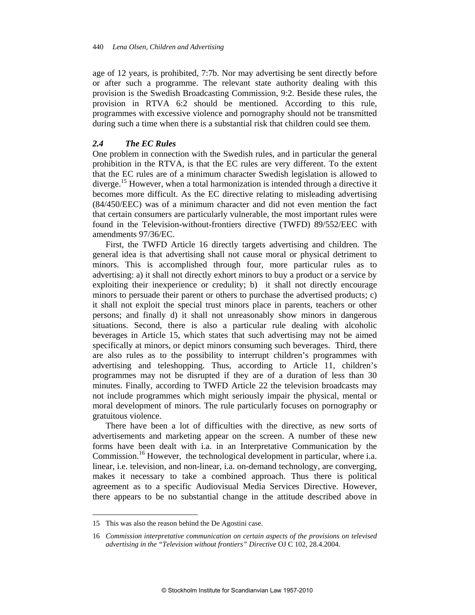age of 12 years, is prohibited, 7:7b. Nor may advertising be sent directly before or after such a programme. The relevant state authority dealing with this provision is the Swedish Broadcasting Commission, 9:2. Beside these rules, the provision in RTVA 6:2 should be mentioned. According to this rule, programmes with excessive violence and pornography should not be transmitted during such a time when there is a substantial risk that children could see them.

#### *2.4 The EC Rules*

One problem in connection with the Swedish rules, and in particular the general prohibition in the RTVA, is that the EC rules are very different. To the extent that the EC rules are of a minimum character Swedish legislation is allowed to diverge.<sup>15</sup> However, when a total harmonization is intended through a directive it becomes more difficult. As the EC directive relating to misleading advertising (84/450/EEC) was of a minimum character and did not even mention the fact that certain consumers are particularly vulnerable, the most important rules were found in the Television-without-frontiers directive (TWFD) 89/552/EEC with amendments 97/36/EC.

First, the TWFD Article 16 directly targets advertising and children. The general idea is that advertising shall not cause moral or physical detriment to minors. This is accomplished through four, more particular rules as to advertising: a) it shall not directly exhort minors to buy a product or a service by exploiting their inexperience or credulity; b) it shall not directly encourage minors to persuade their parent or others to purchase the advertised products; c) it shall not exploit the special trust minors place in parents, teachers or other persons; and finally d) it shall not unreasonably show minors in dangerous situations. Second, there is also a particular rule dealing with alcoholic beverages in Article 15, which states that such advertising may not be aimed specifically at minors, or depict minors consuming such beverages. Third, there are also rules as to the possibility to interrupt children's programmes with advertising and teleshopping. Thus, according to Article 11, children's programmes may not be disrupted if they are of a duration of less than 30 minutes. Finally, according to TWFD Article 22 the television broadcasts may not include programmes which might seriously impair the physical, mental or moral development of minors. The rule particularly focuses on pornography or gratuitous violence.

There have been a lot of difficulties with the directive, as new sorts of advertisements and marketing appear on the screen. A number of these new forms have been dealt with i.a. in an Interpretative Communication by the Commission.<sup>16</sup> However, the technological development in particular, where i.a. linear, i.e. television, and non-linear, i.a. on-demand technology, are converging, makes it necessary to take a combined approach. Thus there is political agreement as to a specific Audiovisual Media Services Directive. However, there appears to be no substantial change in the attitude described above in

<sup>15</sup> This was also the reason behind the De Agostini case.

<sup>16</sup> *Commission interpretative communication on certain aspects of the provisions on televised advertising in the "Television without frontiers" Directive* OJ C 102, 28.4.2004.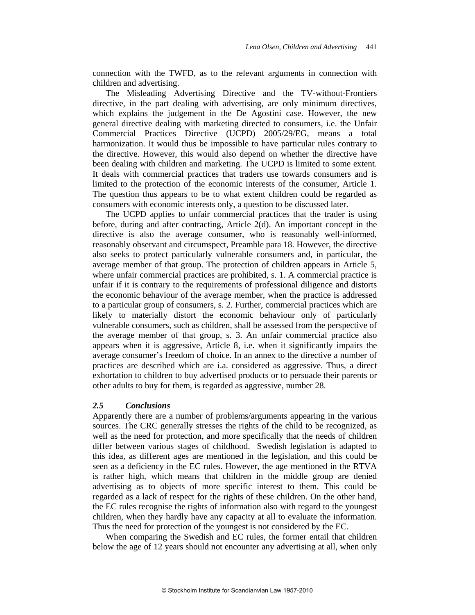connection with the TWFD, as to the relevant arguments in connection with children and advertising.

The Misleading Advertising Directive and the TV-without-Frontiers directive, in the part dealing with advertising, are only minimum directives, which explains the judgement in the De Agostini case. However, the new general directive dealing with marketing directed to consumers, i.e. the Unfair Commercial Practices Directive (UCPD) 2005/29/EG, means a total harmonization. It would thus be impossible to have particular rules contrary to the directive. However, this would also depend on whether the directive have been dealing with children and marketing. The UCPD is limited to some extent. It deals with commercial practices that traders use towards consumers and is limited to the protection of the economic interests of the consumer, Article 1. The question thus appears to be to what extent children could be regarded as consumers with economic interests only, a question to be discussed later.

The UCPD applies to unfair commercial practices that the trader is using before, during and after contracting, Article 2(d). An important concept in the directive is also the average consumer, who is reasonably well-informed, reasonably observant and circumspect, Preamble para 18. However, the directive also seeks to protect particularly vulnerable consumers and, in particular, the average member of that group. The protection of children appears in Article 5, where unfair commercial practices are prohibited, s. 1. A commercial practice is unfair if it is contrary to the requirements of professional diligence and distorts the economic behaviour of the average member, when the practice is addressed to a particular group of consumers, s. 2. Further, commercial practices which are likely to materially distort the economic behaviour only of particularly vulnerable consumers, such as children, shall be assessed from the perspective of the average member of that group, s. 3. An unfair commercial practice also appears when it is aggressive, Article 8, i.e. when it significantly impairs the average consumer's freedom of choice. In an annex to the directive a number of practices are described which are i.a. considered as aggressive. Thus, a direct exhortation to children to buy advertised products or to persuade their parents or other adults to buy for them, is regarded as aggressive, number 28.

#### *2.5 Conclusions*

Apparently there are a number of problems/arguments appearing in the various sources. The CRC generally stresses the rights of the child to be recognized, as well as the need for protection, and more specifically that the needs of children differ between various stages of childhood. Swedish legislation is adapted to this idea, as different ages are mentioned in the legislation, and this could be seen as a deficiency in the EC rules. However, the age mentioned in the RTVA is rather high, which means that children in the middle group are denied advertising as to objects of more specific interest to them. This could be regarded as a lack of respect for the rights of these children. On the other hand, the EC rules recognise the rights of information also with regard to the youngest children, when they hardly have any capacity at all to evaluate the information. Thus the need for protection of the youngest is not considered by the EC.

When comparing the Swedish and EC rules, the former entail that children below the age of 12 years should not encounter any advertising at all, when only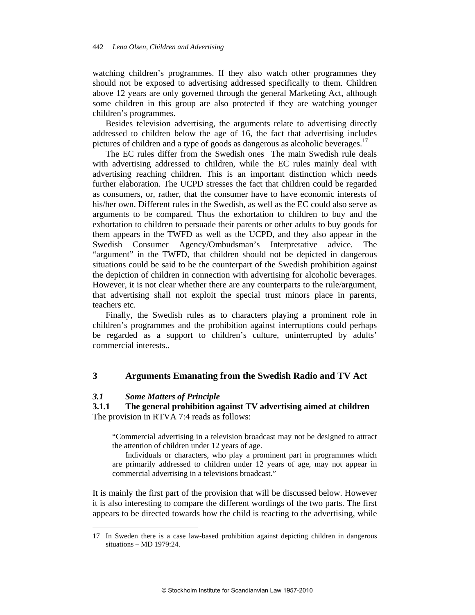watching children's programmes. If they also watch other programmes they should not be exposed to advertising addressed specifically to them. Children above 12 years are only governed through the general Marketing Act, although some children in this group are also protected if they are watching younger children's programmes.

Besides television advertising, the arguments relate to advertising directly addressed to children below the age of 16, the fact that advertising includes pictures of children and a type of goods as dangerous as alcoholic beverages.<sup>17</sup>

The EC rules differ from the Swedish ones The main Swedish rule deals with advertising addressed to children, while the EC rules mainly deal with advertising reaching children. This is an important distinction which needs further elaboration. The UCPD stresses the fact that children could be regarded as consumers, or, rather, that the consumer have to have economic interests of his/her own. Different rules in the Swedish, as well as the EC could also serve as arguments to be compared. Thus the exhortation to children to buy and the exhortation to children to persuade their parents or other adults to buy goods for them appears in the TWFD as well as the UCPD, and they also appear in the Swedish Consumer Agency/Ombudsman's Interpretative advice. The "argument" in the TWFD, that children should not be depicted in dangerous situations could be said to be the counterpart of the Swedish prohibition against the depiction of children in connection with advertising for alcoholic beverages. However, it is not clear whether there are any counterparts to the rule/argument, that advertising shall not exploit the special trust minors place in parents, teachers etc.

Finally, the Swedish rules as to characters playing a prominent role in children's programmes and the prohibition against interruptions could perhaps be regarded as a support to children's culture, uninterrupted by adults' commercial interests..

## **3 Arguments Emanating from the Swedish Radio and TV Act**

## *3.1 Some Matters of Principle*

 $\overline{a}$ 

**3.1.1 The general prohibition against TV advertising aimed at children**  The provision in RTVA 7:4 reads as follows:

"Commercial advertising in a television broadcast may not be designed to attract the attention of children under 12 years of age.

Individuals or characters, who play a prominent part in programmes which are primarily addressed to children under 12 years of age, may not appear in commercial advertising in a televisions broadcast."

It is mainly the first part of the provision that will be discussed below. However it is also interesting to compare the different wordings of the two parts. The first appears to be directed towards how the child is reacting to the advertising, while

<sup>17</sup> In Sweden there is a case law-based prohibition against depicting children in dangerous situations – MD 1979:24.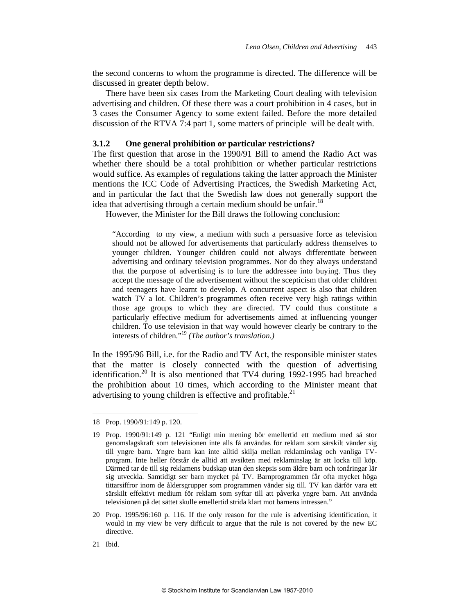the second concerns to whom the programme is directed. The difference will be discussed in greater depth below.

There have been six cases from the Marketing Court dealing with television advertising and children. Of these there was a court prohibition in 4 cases, but in 3 cases the Consumer Agency to some extent failed. Before the more detailed discussion of the RTVA 7:4 part 1, some matters of principle will be dealt with.

#### **3.1.2 One general prohibition or particular restrictions?**

The first question that arose in the 1990/91 Bill to amend the Radio Act was whether there should be a total prohibition or whether particular restrictions would suffice. As examples of regulations taking the latter approach the Minister mentions the ICC Code of Advertising Practices, the Swedish Marketing Act, and in particular the fact that the Swedish law does not generally support the idea that advertising through a certain medium should be unfair.<sup>18</sup>

However, the Minister for the Bill draws the following conclusion:

"According to my view, a medium with such a persuasive force as television should not be allowed for advertisements that particularly address themselves to younger children. Younger children could not always differentiate between advertising and ordinary television programmes. Nor do they always understand that the purpose of advertising is to lure the addressee into buying. Thus they accept the message of the advertisement without the scepticism that older children and teenagers have learnt to develop. A concurrent aspect is also that children watch TV a lot. Children's programmes often receive very high ratings within those age groups to which they are directed. TV could thus constitute a particularly effective medium for advertisements aimed at influencing younger children. To use television in that way would however clearly be contrary to the interests of children."19 *(The author's translation.)* 

In the 1995/96 Bill, i.e. for the Radio and TV Act, the responsible minister states that the matter is closely connected with the question of advertising identification.<sup>20</sup> It is also mentioned that TV4 during  $1992-1995$  had breached the prohibition about 10 times, which according to the Minister meant that advertising to young children is effective and profitable. $^{21}$ 

<sup>18</sup> Prop. 1990/91:149 p. 120.

<sup>19</sup> Prop. 1990/91:149 p. 121 "Enligt min mening bör emellertid ett medium med så stor genomslagskraft som televisionen inte alls få användas för reklam som särskilt vänder sig till yngre barn. Yngre barn kan inte alltid skilja mellan reklaminslag och vanliga TVprogram. Inte heller förstår de alltid att avsikten med reklaminslag är att locka till köp. Därmed tar de till sig reklamens budskap utan den skepsis som äldre barn och tonåringar lär sig utveckla. Samtidigt ser barn mycket på TV. Barnprogrammen får ofta mycket höga tittarsiffror inom de åldersgrupper som programmen vänder sig till. TV kan därför vara ett särskilt effektivt medium för reklam som syftar till att påverka yngre barn. Att använda televisionen på det sättet skulle emellertid strida klart mot barnens intressen."

<sup>20</sup> Prop. 1995/96:160 p. 116. If the only reason for the rule is advertising identification, it would in my view be very difficult to argue that the rule is not covered by the new EC directive.

<sup>21</sup> Ibid.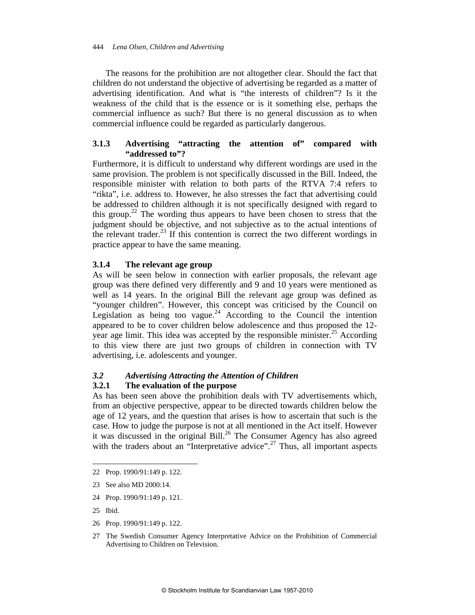The reasons for the prohibition are not altogether clear. Should the fact that children do not understand the objective of advertising be regarded as a matter of advertising identification. And what is "the interests of children"? Is it the weakness of the child that is the essence or is it something else, perhaps the commercial influence as such? But there is no general discussion as to when commercial influence could be regarded as particularly dangerous.

## **3.1.3 Advertising "attracting the attention of" compared with "addressed to"?**

Furthermore, it is difficult to understand why different wordings are used in the same provision. The problem is not specifically discussed in the Bill. Indeed, the responsible minister with relation to both parts of the RTVA 7:4 refers to "rikta", i.e. address to. However, he also stresses the fact that advertising could be addressed to children although it is not specifically designed with regard to this group.<sup>22</sup> The wording thus appears to have been chosen to stress that the judgment should be objective, and not subjective as to the actual intentions of the relevant trader.<sup>23</sup> If this contention is correct the two different wordings in practice appear to have the same meaning.

## **3.1.4 The relevant age group**

As will be seen below in connection with earlier proposals, the relevant age group was there defined very differently and 9 and 10 years were mentioned as well as 14 years. In the original Bill the relevant age group was defined as "younger children". However, this concept was criticised by the Council on Legislation as being too vague.<sup>24</sup> According to the Council the intention appeared to be to cover children below adolescence and thus proposed the 12 year age limit. This idea was accepted by the responsible minister.<sup>25</sup> According to this view there are just two groups of children in connection with TV advertising, i.e. adolescents and younger.

## *3.2 Advertising Attracting the Attention of Children*

## **3.2.1 The evaluation of the purpose**

As has been seen above the prohibition deals with TV advertisements which, from an objective perspective, appear to be directed towards children below the age of 12 years, and the question that arises is how to ascertain that such is the case. How to judge the purpose is not at all mentioned in the Act itself. However it was discussed in the original Bill.<sup>26</sup> The Consumer Agency has also agreed with the traders about an "Interpretative advice".<sup>27</sup> Thus, all important aspects

- l 22 Prop. 1990/91:149 p. 122.
- 23 See also MD 2000:14.
- 24 Prop. 1990/91:149 p. 121.
- 25 Ibid.
- 26 Prop. 1990/91:149 p. 122.

<sup>27</sup> The Swedish Consumer Agency Interpretative Advice on the Prohibition of Commercial Advertising to Children on Television.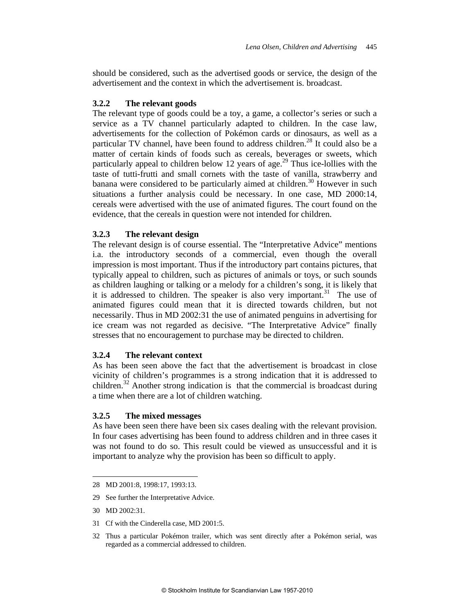should be considered, such as the advertised goods or service, the design of the advertisement and the context in which the advertisement is. broadcast.

## **3.2.2 The relevant goods**

The relevant type of goods could be a toy, a game, a collector's series or such a service as a TV channel particularly adapted to children. In the case law, advertisements for the collection of Pokémon cards or dinosaurs, as well as a particular TV channel, have been found to address children.<sup>28</sup> It could also be a matter of certain kinds of foods such as cereals, beverages or sweets, which particularly appeal to children below 12 years of age.<sup>29</sup> Thus ice-lollies with the taste of tutti-frutti and small cornets with the taste of vanilla, strawberry and banana were considered to be particularly aimed at children.<sup>30</sup> However in such situations a further analysis could be necessary. In one case, MD 2000:14, cereals were advertised with the use of animated figures. The court found on the evidence, that the cereals in question were not intended for children.

## **3.2.3 The relevant design**

The relevant design is of course essential. The "Interpretative Advice" mentions i.a. the introductory seconds of a commercial, even though the overall impression is most important. Thus if the introductory part contains pictures, that typically appeal to children, such as pictures of animals or toys, or such sounds as children laughing or talking or a melody for a children's song, it is likely that it is addressed to children. The speaker is also very important.<sup>31</sup> The use of animated figures could mean that it is directed towards children, but not necessarily. Thus in MD 2002:31 the use of animated penguins in advertising for ice cream was not regarded as decisive. "The Interpretative Advice" finally stresses that no encouragement to purchase may be directed to children.

## **3.2.4 The relevant context**

As has been seen above the fact that the advertisement is broadcast in close vicinity of children's programmes is a strong indication that it is addressed to children.<sup>32</sup> Another strong indication is that the commercial is broadcast during a time when there are a lot of children watching.

## **3.2.5 The mixed messages**

As have been seen there have been six cases dealing with the relevant provision. In four cases advertising has been found to address children and in three cases it was not found to do so. This result could be viewed as unsuccessful and it is important to analyze why the provision has been so difficult to apply.

- 29 See further the Interpretative Advice.
- 30 MD 2002:31.

l

31 Cf with the Cinderella case, MD 2001:5.

<sup>28</sup> MD 2001:8, 1998:17, 1993:13.

<sup>32</sup> Thus a particular Pokémon trailer, which was sent directly after a Pokémon serial, was regarded as a commercial addressed to children.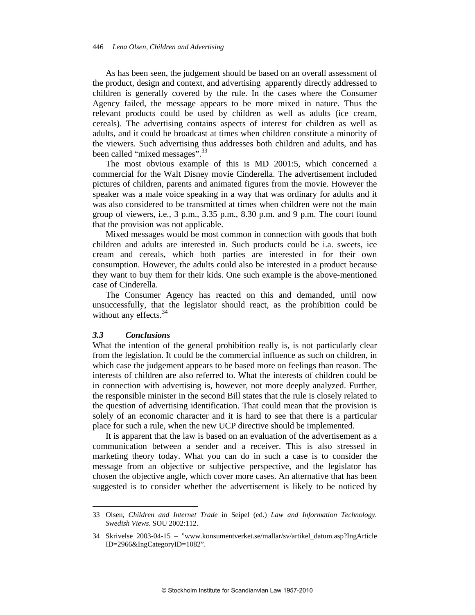As has been seen, the judgement should be based on an overall assessment of the product, design and context, and advertising apparently directly addressed to children is generally covered by the rule. In the cases where the Consumer Agency failed, the message appears to be more mixed in nature. Thus the relevant products could be used by children as well as adults (ice cream, cereals). The advertising contains aspects of interest for children as well as adults, and it could be broadcast at times when children constitute a minority of the viewers. Such advertising thus addresses both children and adults, and has been called "mixed messages".<sup>33</sup>

The most obvious example of this is MD 2001:5, which concerned a commercial for the Walt Disney movie Cinderella. The advertisement included pictures of children, parents and animated figures from the movie. However the speaker was a male voice speaking in a way that was ordinary for adults and it was also considered to be transmitted at times when children were not the main group of viewers, i.e., 3 p.m., 3.35 p.m., 8.30 p.m. and 9 p.m. The court found that the provision was not applicable.

Mixed messages would be most common in connection with goods that both children and adults are interested in. Such products could be i.a. sweets, ice cream and cereals, which both parties are interested in for their own consumption. However, the adults could also be interested in a product because they want to buy them for their kids. One such example is the above-mentioned case of Cinderella.

The Consumer Agency has reacted on this and demanded, until now unsuccessfully, that the legislator should react, as the prohibition could be without any effects. $34$ 

#### *3.3 Conclusions*

l

What the intention of the general prohibition really is, is not particularly clear from the legislation. It could be the commercial influence as such on children, in which case the judgement appears to be based more on feelings than reason. The interests of children are also referred to. What the interests of children could be in connection with advertising is, however, not more deeply analyzed. Further, the responsible minister in the second Bill states that the rule is closely related to the question of advertising identification. That could mean that the provision is solely of an economic character and it is hard to see that there is a particular place for such a rule, when the new UCP directive should be implemented.

It is apparent that the law is based on an evaluation of the advertisement as a communication between a sender and a receiver. This is also stressed in marketing theory today. What you can do in such a case is to consider the message from an objective or subjective perspective, and the legislator has chosen the objective angle, which cover more cases. An alternative that has been suggested is to consider whether the advertisement is likely to be noticed by

<sup>33</sup> Olsen, *Children and Internet Trade* in Seipel (ed.) *Law and Information Technology. Swedish Views*. SOU 2002:112.

<sup>34</sup> Skrivelse 2003-04-15 – "www.konsumentverket.se/mallar/sv/artikel\_datum.asp?IngArticle ID=2966&IngCategoryID=1082".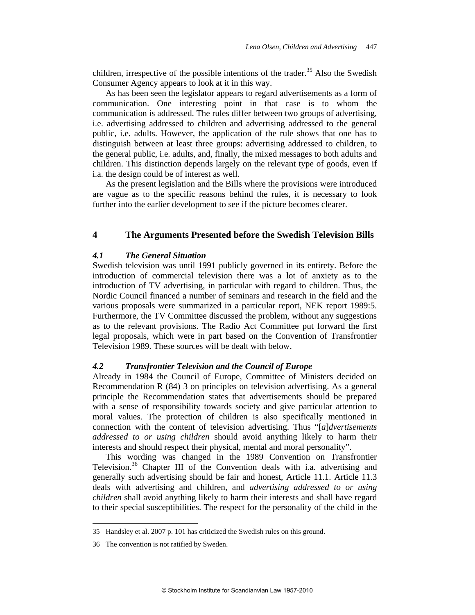children, irrespective of the possible intentions of the trader.<sup>35</sup> Also the Swedish Consumer Agency appears to look at it in this way.

As has been seen the legislator appears to regard advertisements as a form of communication. One interesting point in that case is to whom the communication is addressed. The rules differ between two groups of advertising, i.e. advertising addressed to children and advertising addressed to the general public, i.e. adults. However, the application of the rule shows that one has to distinguish between at least three groups: advertising addressed to children, to the general public, i.e. adults, and, finally, the mixed messages to both adults and children. This distinction depends largely on the relevant type of goods, even if i.a. the design could be of interest as well.

As the present legislation and the Bills where the provisions were introduced are vague as to the specific reasons behind the rules, it is necessary to look further into the earlier development to see if the picture becomes clearer.

## **4 The Arguments Presented before the Swedish Television Bills**

#### *4.1 The General Situation*

Swedish television was until 1991 publicly governed in its entirety. Before the introduction of commercial television there was a lot of anxiety as to the introduction of TV advertising, in particular with regard to children. Thus, the Nordic Council financed a number of seminars and research in the field and the various proposals were summarized in a particular report, NEK report 1989:5. Furthermore, the TV Committee discussed the problem, without any suggestions as to the relevant provisions. The Radio Act Committee put forward the first legal proposals, which were in part based on the Convention of Transfrontier Television 1989. These sources will be dealt with below.

## *4.2 Transfrontier Television and the Council of Europe*

Already in 1984 the Council of Europe, Committee of Ministers decided on Recommendation R (84) 3 on principles on television advertising. As a general principle the Recommendation states that advertisements should be prepared with a sense of responsibility towards society and give particular attention to moral values. The protection of children is also specifically mentioned in connection with the content of television advertising. Thus "[*a*]*dvertisements addressed to or using children* should avoid anything likely to harm their interests and should respect their physical, mental and moral personality".

This wording was changed in the 1989 Convention on Transfrontier Television.<sup>36</sup> Chapter III of the Convention deals with i.a. advertising and generally such advertising should be fair and honest, Article 11.1. Article 11.3 deals with advertising and children, and *advertising addressed to or using children* shall avoid anything likely to harm their interests and shall have regard to their special susceptibilities. The respect for the personality of the child in the

<sup>35</sup> Handsley et al. 2007 p. 101 has criticized the Swedish rules on this ground.

<sup>36</sup> The convention is not ratified by Sweden.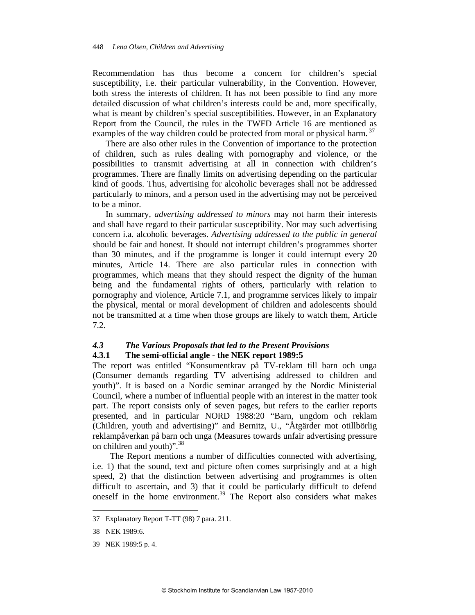Recommendation has thus become a concern for children's special susceptibility, i.e. their particular vulnerability, in the Convention. However, both stress the interests of children. It has not been possible to find any more detailed discussion of what children's interests could be and, more specifically, what is meant by children's special susceptibilities. However, in an Explanatory Report from the Council, the rules in the TWFD Article 16 are mentioned as examples of the way children could be protected from moral or physical harm.<sup>37</sup>

There are also other rules in the Convention of importance to the protection of children, such as rules dealing with pornography and violence, or the possibilities to transmit advertising at all in connection with children's programmes. There are finally limits on advertising depending on the particular kind of goods. Thus, advertising for alcoholic beverages shall not be addressed particularly to minors, and a person used in the advertising may not be perceived to be a minor.

In summary, *advertising addressed to minors* may not harm their interests and shall have regard to their particular susceptibility. Nor may such advertising concern i.a. alcoholic beverages. *Advertising addressed to the public in general* should be fair and honest. It should not interrupt children's programmes shorter than 30 minutes, and if the programme is longer it could interrupt every 20 minutes, Article 14. There are also particular rules in connection with programmes, which means that they should respect the dignity of the human being and the fundamental rights of others, particularly with relation to pornography and violence, Article 7.1, and programme services likely to impair the physical, mental or moral development of children and adolescents should not be transmitted at a time when those groups are likely to watch them, Article 7.2.

#### *4.3 The Various Proposals that led to the Present Provisions*  **4.3.1 The semi-official angle - the NEK report 1989:5**

The report was entitled "Konsumentkrav på TV-reklam till barn och unga (Consumer demands regarding TV advertising addressed to children and youth)". It is based on a Nordic seminar arranged by the Nordic Ministerial Council, where a number of influential people with an interest in the matter took part. The report consists only of seven pages, but refers to the earlier reports presented, and in particular NORD 1988:20 "Barn, ungdom och reklam (Children, youth and advertising)" and Bernitz, U., "Åtgärder mot otillbörlig reklampåverkan på barn och unga (Measures towards unfair advertising pressure on children and youth)".38

 The Report mentions a number of difficulties connected with advertising, i.e. 1) that the sound, text and picture often comes surprisingly and at a high speed, 2) that the distinction between advertising and programmes is often difficult to ascertain, and 3) that it could be particularly difficult to defend oneself in the home environment.<sup>39</sup> The Report also considers what makes

<sup>37</sup> Explanatory Report T-TT (98) 7 para. 211.

<sup>38</sup> NEK 1989:6.

<sup>39</sup> NEK 1989:5 p. 4.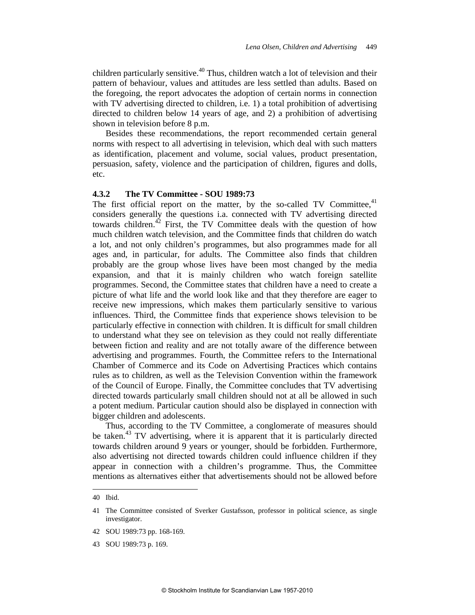children particularly sensitive.<sup>40</sup> Thus, children watch a lot of television and their pattern of behaviour, values and attitudes are less settled than adults. Based on the foregoing, the report advocates the adoption of certain norms in connection with TV advertising directed to children, i.e. 1) a total prohibition of advertising directed to children below 14 years of age, and 2) a prohibition of advertising shown in television before 8 p.m.

Besides these recommendations, the report recommended certain general norms with respect to all advertising in television, which deal with such matters as identification, placement and volume, social values, product presentation, persuasion, safety, violence and the participation of children, figures and dolls, etc.

## **4.3.2 The TV Committee - SOU 1989:73**

The first official report on the matter, by the so-called TV Committee, $41$ considers generally the questions i.a. connected with TV advertising directed towards children.<sup>42</sup> First, the TV Committee deals with the question of how much children watch television, and the Committee finds that children do watch a lot, and not only children's programmes, but also programmes made for all ages and, in particular, for adults. The Committee also finds that children probably are the group whose lives have been most changed by the media expansion, and that it is mainly children who watch foreign satellite programmes. Second, the Committee states that children have a need to create a picture of what life and the world look like and that they therefore are eager to receive new impressions, which makes them particularly sensitive to various influences. Third, the Committee finds that experience shows television to be particularly effective in connection with children. It is difficult for small children to understand what they see on television as they could not really differentiate between fiction and reality and are not totally aware of the difference between advertising and programmes. Fourth, the Committee refers to the International Chamber of Commerce and its Code on Advertising Practices which contains rules as to children, as well as the Television Convention within the framework of the Council of Europe. Finally, the Committee concludes that TV advertising directed towards particularly small children should not at all be allowed in such a potent medium. Particular caution should also be displayed in connection with bigger children and adolescents.

Thus, according to the TV Committee, a conglomerate of measures should be taken.<sup>43</sup> TV advertising, where it is apparent that it is particularly directed towards children around 9 years or younger, should be forbidden. Furthermore, also advertising not directed towards children could influence children if they appear in connection with a children's programme. Thus, the Committee mentions as alternatives either that advertisements should not be allowed before

<sup>40</sup> Ibid.

<sup>41</sup> The Committee consisted of Sverker Gustafsson, professor in political science, as single investigator.

<sup>42</sup> SOU 1989:73 pp. 168-169.

<sup>43</sup> SOU 1989:73 p. 169.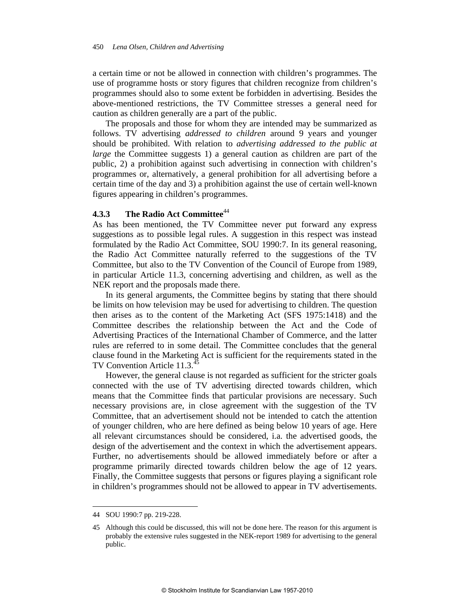a certain time or not be allowed in connection with children's programmes. The use of programme hosts or story figures that children recognize from children's programmes should also to some extent be forbidden in advertising. Besides the above-mentioned restrictions, the TV Committee stresses a general need for caution as children generally are a part of the public.

The proposals and those for whom they are intended may be summarized as follows. TV advertising *addressed to children* around 9 years and younger should be prohibited. With relation to *advertising addressed to the public at large* the Committee suggests 1) a general caution as children are part of the public, 2) a prohibition against such advertising in connection with children's programmes or, alternatively, a general prohibition for all advertising before a certain time of the day and 3) a prohibition against the use of certain well-known figures appearing in children's programmes.

## **4.3.3 The Radio Act Committee**<sup>44</sup>

As has been mentioned, the TV Committee never put forward any express suggestions as to possible legal rules. A suggestion in this respect was instead formulated by the Radio Act Committee, SOU 1990:7. In its general reasoning, the Radio Act Committee naturally referred to the suggestions of the TV Committee, but also to the TV Convention of the Council of Europe from 1989, in particular Article 11.3, concerning advertising and children, as well as the NEK report and the proposals made there.

In its general arguments, the Committee begins by stating that there should be limits on how television may be used for advertising to children. The question then arises as to the content of the Marketing Act (SFS 1975:1418) and the Committee describes the relationship between the Act and the Code of Advertising Practices of the International Chamber of Commerce, and the latter rules are referred to in some detail. The Committee concludes that the general clause found in the Marketing Act is sufficient for the requirements stated in the TV Convention Article 11.3.<sup>45</sup>

However, the general clause is not regarded as sufficient for the stricter goals connected with the use of TV advertising directed towards children, which means that the Committee finds that particular provisions are necessary. Such necessary provisions are, in close agreement with the suggestion of the TV Committee, that an advertisement should not be intended to catch the attention of younger children, who are here defined as being below 10 years of age. Here all relevant circumstances should be considered, i.a. the advertised goods, the design of the advertisement and the context in which the advertisement appears. Further, no advertisements should be allowed immediately before or after a programme primarily directed towards children below the age of 12 years. Finally, the Committee suggests that persons or figures playing a significant role in children's programmes should not be allowed to appear in TV advertisements.

<sup>44</sup> SOU 1990:7 pp. 219-228.

<sup>45</sup> Although this could be discussed, this will not be done here. The reason for this argument is probably the extensive rules suggested in the NEK-report 1989 for advertising to the general public.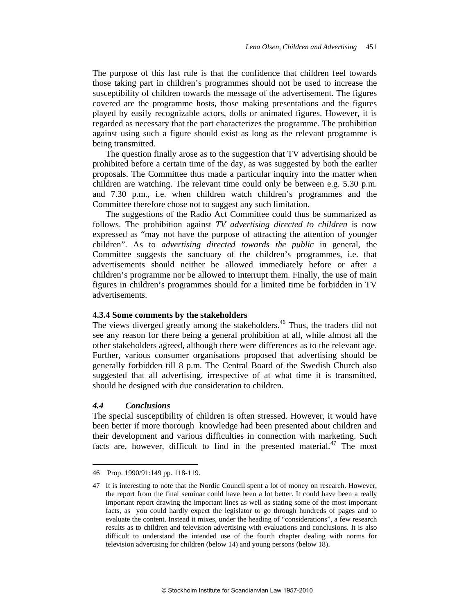The purpose of this last rule is that the confidence that children feel towards those taking part in children's programmes should not be used to increase the susceptibility of children towards the message of the advertisement. The figures covered are the programme hosts, those making presentations and the figures played by easily recognizable actors, dolls or animated figures. However, it is regarded as necessary that the part characterizes the programme. The prohibition against using such a figure should exist as long as the relevant programme is being transmitted.

The question finally arose as to the suggestion that TV advertising should be prohibited before a certain time of the day, as was suggested by both the earlier proposals. The Committee thus made a particular inquiry into the matter when children are watching. The relevant time could only be between e.g. 5.30 p.m. and 7.30 p.m., i.e. when children watch children's programmes and the Committee therefore chose not to suggest any such limitation.

The suggestions of the Radio Act Committee could thus be summarized as follows. The prohibition against *TV advertising directed to children* is now expressed as "may not have the purpose of attracting the attention of younger children". As to *advertising directed towards the public* in general, the Committee suggests the sanctuary of the children's programmes, i.e. that advertisements should neither be allowed immediately before or after a children's programme nor be allowed to interrupt them. Finally, the use of main figures in children's programmes should for a limited time be forbidden in TV advertisements.

#### **4.3.4 Some comments by the stakeholders**

The views diverged greatly among the stakeholders.<sup>46</sup> Thus, the traders did not see any reason for there being a general prohibition at all, while almost all the other stakeholders agreed, although there were differences as to the relevant age. Further, various consumer organisations proposed that advertising should be generally forbidden till 8 p.m. The Central Board of the Swedish Church also suggested that all advertising, irrespective of at what time it is transmitted, should be designed with due consideration to children.

#### *4.4 Conclusions*

 $\overline{a}$ 

The special susceptibility of children is often stressed. However, it would have been better if more thorough knowledge had been presented about children and their development and various difficulties in connection with marketing. Such facts are, however, difficult to find in the presented material.<sup>47</sup> The most

<sup>46</sup> Prop. 1990/91:149 pp. 118-119.

<sup>47</sup> It is interesting to note that the Nordic Council spent a lot of money on research. However, the report from the final seminar could have been a lot better. It could have been a really important report drawing the important lines as well as stating some of the most important facts, as you could hardly expect the legislator to go through hundreds of pages and to evaluate the content. Instead it mixes, under the heading of "considerations", a few research results as to children and television advertising with evaluations and conclusions. It is also difficult to understand the intended use of the fourth chapter dealing with norms for television advertising for children (below 14) and young persons (below 18).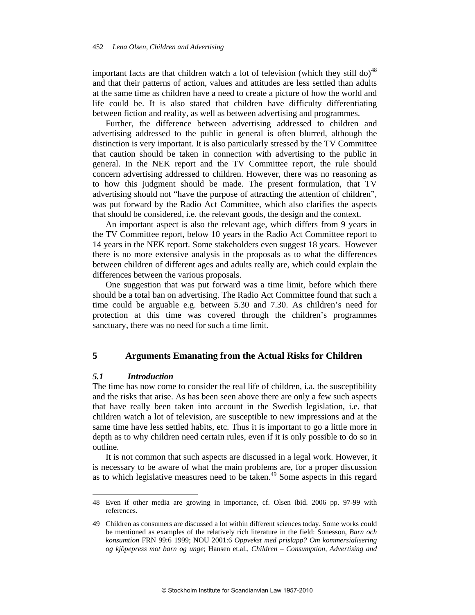important facts are that children watch a lot of television (which they still do)<sup>48</sup> and that their patterns of action, values and attitudes are less settled than adults at the same time as children have a need to create a picture of how the world and life could be. It is also stated that children have difficulty differentiating between fiction and reality, as well as between advertising and programmes.

Further, the difference between advertising addressed to children and advertising addressed to the public in general is often blurred, although the distinction is very important. It is also particularly stressed by the TV Committee that caution should be taken in connection with advertising to the public in general. In the NEK report and the TV Committee report, the rule should concern advertising addressed to children. However, there was no reasoning as to how this judgment should be made. The present formulation, that TV advertising should not "have the purpose of attracting the attention of children", was put forward by the Radio Act Committee, which also clarifies the aspects that should be considered, i.e. the relevant goods, the design and the context.

An important aspect is also the relevant age, which differs from 9 years in the TV Committee report, below 10 years in the Radio Act Committee report to 14 years in the NEK report. Some stakeholders even suggest 18 years. However there is no more extensive analysis in the proposals as to what the differences between children of different ages and adults really are, which could explain the differences between the various proposals.

One suggestion that was put forward was a time limit, before which there should be a total ban on advertising. The Radio Act Committee found that such a time could be arguable e.g. between 5.30 and 7.30. As children's need for protection at this time was covered through the children's programmes sanctuary, there was no need for such a time limit.

## **5 Arguments Emanating from the Actual Risks for Children**

#### *5.1 Introduction*

l

The time has now come to consider the real life of children, i.a. the susceptibility and the risks that arise. As has been seen above there are only a few such aspects that have really been taken into account in the Swedish legislation, i.e. that children watch a lot of television, are susceptible to new impressions and at the same time have less settled habits, etc. Thus it is important to go a little more in depth as to why children need certain rules, even if it is only possible to do so in outline.

It is not common that such aspects are discussed in a legal work. However, it is necessary to be aware of what the main problems are, for a proper discussion as to which legislative measures need to be taken.<sup>49</sup> Some aspects in this regard

<sup>48</sup> Even if other media are growing in importance, cf. Olsen ibid. 2006 pp. 97-99 with references.

<sup>49</sup> Children as consumers are discussed a lot within different sciences today. Some works could be mentioned as examples of the relatively rich literature in the field: Sonesson, *Barn och konsumtion* FRN 99:6 1999; NOU 2001:6 *Oppvekst med prislapp? Om kommersialisering og kjöpepress mot barn og unge*; Hansen et.al., *Children – Consumption, Advertising and*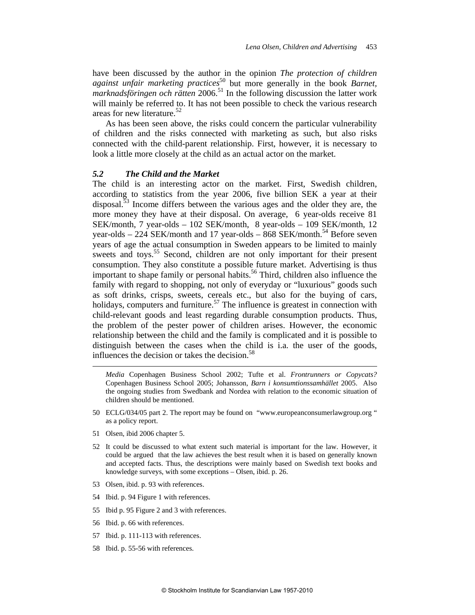have been discussed by the author in the opinion *The protection of children against unfair marketing practices*<sup>50</sup> but more generally in the book *Barnet*, marknadsföringen och rätten 2006.<sup>51</sup> In the following discussion the latter work will mainly be referred to. It has not been possible to check the various research areas for new literature. $52$ 

As has been seen above, the risks could concern the particular vulnerability of children and the risks connected with marketing as such, but also risks connected with the child-parent relationship. First, however, it is necessary to look a little more closely at the child as an actual actor on the market.

#### *5.2 The Child and the Market*

The child is an interesting actor on the market. First, Swedish children, according to statistics from the year 2006, five billion SEK a year at their disposal.<sup>53</sup> Income differs between the various ages and the older they are, the more money they have at their disposal. On average, 6 year-olds receive 81 SEK/month, 7 year-olds – 102 SEK/month, 8 year-olds – 109 SEK/month, 12 year-olds – 224 SEK/month and 17 year-olds – 868 SEK/month.<sup>54</sup> Before seven years of age the actual consumption in Sweden appears to be limited to mainly sweets and toys.<sup>55</sup> Second, children are not only important for their present consumption. They also constitute a possible future market. Advertising is thus important to shape family or personal habits.<sup>56</sup> Third, children also influence the family with regard to shopping, not only of everyday or "luxurious" goods such as soft drinks, crisps, sweets, cereals etc., but also for the buying of cars, holidays, computers and furniture.<sup>57</sup> The influence is greatest in connection with child-relevant goods and least regarding durable consumption products. Thus, the problem of the pester power of children arises. However, the economic relationship between the child and the family is complicated and it is possible to distinguish between the cases when the child is i.a. the user of the goods, influences the decision or takes the decision. $58$ 

*Media* Copenhagen Business School 2002; Tufte et al. *Frontrunners or Copycats?* Copenhagen Business School 2005; Johansson, *Barn i konsumtionssamhället* 2005. Also the ongoing studies from Swedbank and Nordea with relation to the economic situation of children should be mentioned.

- 50 ECLG/034/05 part 2. The report may be found on "www.europeanconsumerlawgroup.org " as a policy report.
- 51 Olsen, ibid 2006 chapter 5.

- 52 It could be discussed to what extent such material is important for the law. However, it could be argued that the law achieves the best result when it is based on generally known and accepted facts. Thus, the descriptions were mainly based on Swedish text books and knowledge surveys, with some exceptions – Olsen, ibid. p. 26.
- 53 Olsen, ibid. p. 93 with references.
- 54 Ibid. p. 94 Figure 1 with references.
- 55 Ibid p. 95 Figure 2 and 3 with references.
- 56 Ibid. p. 66 with references.
- 57 Ibid. p. 111-113 with references.
- 58 Ibid. p. 55-56 with references.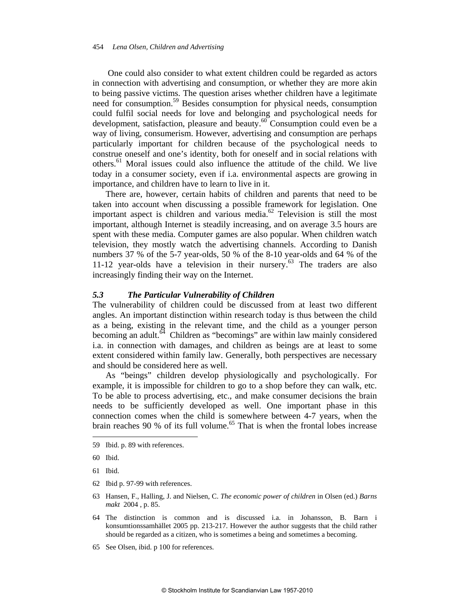One could also consider to what extent children could be regarded as actors in connection with advertising and consumption, or whether they are more akin to being passive victims. The question arises whether children have a legitimate need for consumption.<sup>59</sup> Besides consumption for physical needs, consumption could fulfil social needs for love and belonging and psychological needs for development, satisfaction, pleasure and beauty.<sup>60</sup> Consumption could even be a way of living, consumerism. However, advertising and consumption are perhaps particularly important for children because of the psychological needs to construe oneself and one's identity, both for oneself and in social relations with others.61 Moral issues could also influence the attitude of the child. We live today in a consumer society, even if i.a. environmental aspects are growing in importance, and children have to learn to live in it.

There are, however, certain habits of children and parents that need to be taken into account when discussing a possible framework for legislation. One important aspect is children and various media. $62$  Television is still the most important, although Internet is steadily increasing, and on average 3.5 hours are spent with these media. Computer games are also popular. When children watch television, they mostly watch the advertising channels. According to Danish numbers 37 % of the 5-7 year-olds, 50 % of the 8-10 year-olds and 64 % of the 11-12 year-olds have a television in their nursery.<sup>63</sup> The traders are also increasingly finding their way on the Internet.

#### *5.3 The Particular Vulnerability of Children*

The vulnerability of children could be discussed from at least two different angles. An important distinction within research today is thus between the child as a being, existing in the relevant time, and the child as a younger person becoming an adult.<sup>64</sup> Children as "becomings" are within law mainly considered i.a. in connection with damages, and children as beings are at least to some extent considered within family law. Generally, both perspectives are necessary and should be considered here as well.

As "beings" children develop physiologically and psychologically. For example, it is impossible for children to go to a shop before they can walk, etc. To be able to process advertising, etc., and make consumer decisions the brain needs to be sufficiently developed as well. One important phase in this connection comes when the child is somewhere between 4-7 years, when the brain reaches 90 % of its full volume.<sup>65</sup> That is when the frontal lobes increase

- 62 Ibid p. 97-99 with references.
- 63 Hansen, F., Halling, J. and Nielsen, C. *The economic power of children* in Olsen (ed.) *Barns makt* 2004 , p. 85.
- 64 The distinction is common and is discussed i.a. in Johansson, B. Barn i konsumtionssamhället 2005 pp. 213-217. However the author suggests that the child rather should be regarded as a citizen, who is sometimes a being and sometimes a becoming.
- 65 See Olsen, ibid. p 100 for references.

<sup>59</sup> Ibid. p. 89 with references.

<sup>60</sup> Ibid.

<sup>61</sup> Ibid.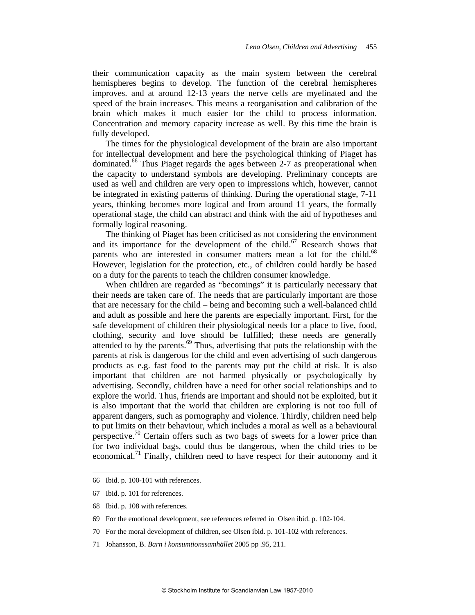their communication capacity as the main system between the cerebral hemispheres begins to develop. The function of the cerebral hemispheres improves. and at around 12-13 years the nerve cells are myelinated and the speed of the brain increases. This means a reorganisation and calibration of the brain which makes it much easier for the child to process information. Concentration and memory capacity increase as well. By this time the brain is fully developed.

The times for the physiological development of the brain are also important for intellectual development and here the psychological thinking of Piaget has dominated.<sup>66</sup> Thus Piaget regards the ages between 2-7 as preoperational when the capacity to understand symbols are developing. Preliminary concepts are used as well and children are very open to impressions which, however, cannot be integrated in existing patterns of thinking. During the operational stage, 7-11 years, thinking becomes more logical and from around 11 years, the formally operational stage, the child can abstract and think with the aid of hypotheses and formally logical reasoning.

The thinking of Piaget has been criticised as not considering the environment and its importance for the development of the child.<sup>67</sup> Research shows that parents who are interested in consumer matters mean a lot for the child.<sup>68</sup> However, legislation for the protection, etc., of children could hardly be based on a duty for the parents to teach the children consumer knowledge.

When children are regarded as "becomings" it is particularly necessary that their needs are taken care of. The needs that are particularly important are those that are necessary for the child – being and becoming such a well-balanced child and adult as possible and here the parents are especially important. First, for the safe development of children their physiological needs for a place to live, food, clothing, security and love should be fulfilled; these needs are generally attended to by the parents. $69$  Thus, advertising that puts the relationship with the parents at risk is dangerous for the child and even advertising of such dangerous products as e.g. fast food to the parents may put the child at risk. It is also important that children are not harmed physically or psychologically by advertising. Secondly, children have a need for other social relationships and to explore the world. Thus, friends are important and should not be exploited, but it is also important that the world that children are exploring is not too full of apparent dangers, such as pornography and violence. Thirdly, children need help to put limits on their behaviour, which includes a moral as well as a behavioural perspective.<sup>70</sup> Certain offers such as two bags of sweets for a lower price than for two individual bags, could thus be dangerous, when the child tries to be economical.<sup>71</sup> Finally, children need to have respect for their autonomy and it

<sup>66</sup> Ibid. p. 100-101 with references.

<sup>67</sup> Ibid. p. 101 for references.

<sup>68</sup> Ibid. p. 108 with references.

<sup>69</sup> For the emotional development, see references referred in Olsen ibid. p. 102-104.

<sup>70</sup> For the moral development of children, see Olsen ibid. p. 101-102 with references.

<sup>71</sup> Johansson, B. *Barn i konsumtionssamhället* 2005 pp .95, 211.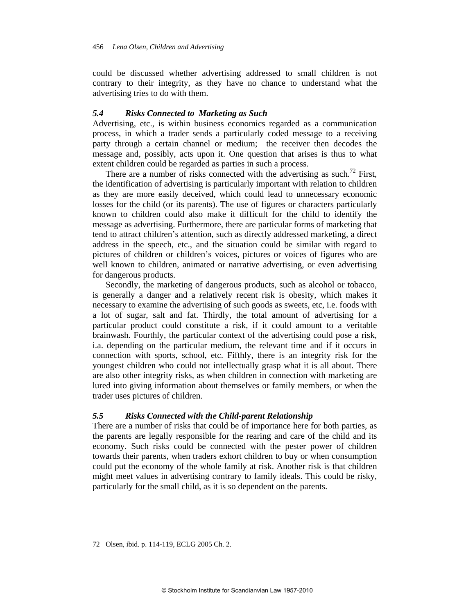could be discussed whether advertising addressed to small children is not contrary to their integrity, as they have no chance to understand what the advertising tries to do with them.

### *5.4 Risks Connected to Marketing as Such*

Advertising, etc., is within business economics regarded as a communication process, in which a trader sends a particularly coded message to a receiving party through a certain channel or medium; the receiver then decodes the message and, possibly, acts upon it. One question that arises is thus to what extent children could be regarded as parties in such a process.

There are a number of risks connected with the advertising as such.<sup>72</sup> First, the identification of advertising is particularly important with relation to children as they are more easily deceived, which could lead to unnecessary economic losses for the child (or its parents). The use of figures or characters particularly known to children could also make it difficult for the child to identify the message as advertising. Furthermore, there are particular forms of marketing that tend to attract children's attention, such as directly addressed marketing, a direct address in the speech, etc., and the situation could be similar with regard to pictures of children or children's voices, pictures or voices of figures who are well known to children, animated or narrative advertising, or even advertising for dangerous products.

Secondly, the marketing of dangerous products, such as alcohol or tobacco, is generally a danger and a relatively recent risk is obesity, which makes it necessary to examine the advertising of such goods as sweets, etc, i.e. foods with a lot of sugar, salt and fat. Thirdly, the total amount of advertising for a particular product could constitute a risk, if it could amount to a veritable brainwash. Fourthly, the particular context of the advertising could pose a risk, i.a. depending on the particular medium, the relevant time and if it occurs in connection with sports, school, etc. Fifthly, there is an integrity risk for the youngest children who could not intellectually grasp what it is all about. There are also other integrity risks, as when children in connection with marketing are lured into giving information about themselves or family members, or when the trader uses pictures of children.

#### *5.5 Risks Connected with the Child-parent Relationship*

There are a number of risks that could be of importance here for both parties, as the parents are legally responsible for the rearing and care of the child and its economy. Such risks could be connected with the pester power of children towards their parents, when traders exhort children to buy or when consumption could put the economy of the whole family at risk. Another risk is that children might meet values in advertising contrary to family ideals. This could be risky, particularly for the small child, as it is so dependent on the parents.

<sup>72</sup> Olsen, ibid. p. 114-119, ECLG 2005 Ch. 2.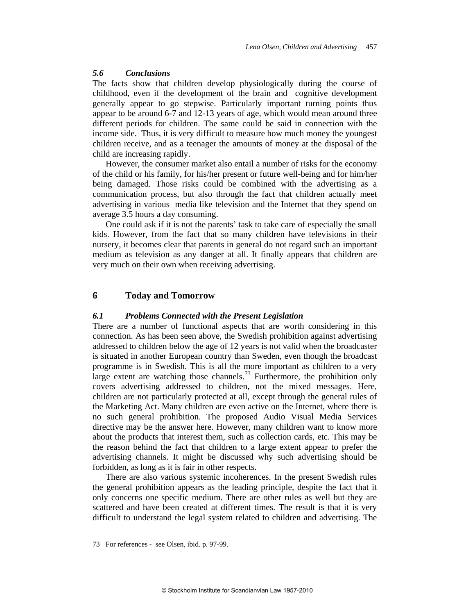#### *5.6 Conclusions*

The facts show that children develop physiologically during the course of childhood, even if the development of the brain and cognitive development generally appear to go stepwise. Particularly important turning points thus appear to be around 6-7 and 12-13 years of age, which would mean around three different periods for children. The same could be said in connection with the income side. Thus, it is very difficult to measure how much money the youngest children receive, and as a teenager the amounts of money at the disposal of the child are increasing rapidly.

However, the consumer market also entail a number of risks for the economy of the child or his family, for his/her present or future well-being and for him/her being damaged. Those risks could be combined with the advertising as a communication process, but also through the fact that children actually meet advertising in various media like television and the Internet that they spend on average 3.5 hours a day consuming.

One could ask if it is not the parents' task to take care of especially the small kids. However, from the fact that so many children have televisions in their nursery, it becomes clear that parents in general do not regard such an important medium as television as any danger at all. It finally appears that children are very much on their own when receiving advertising.

#### **6 Today and Tomorrow**

### *6.1 Problems Connected with the Present Legislation*

There are a number of functional aspects that are worth considering in this connection. As has been seen above, the Swedish prohibition against advertising addressed to children below the age of 12 years is not valid when the broadcaster is situated in another European country than Sweden, even though the broadcast programme is in Swedish. This is all the more important as children to a very large extent are watching those channels.<sup>73</sup> Furthermore, the prohibition only covers advertising addressed to children, not the mixed messages. Here, children are not particularly protected at all, except through the general rules of the Marketing Act. Many children are even active on the Internet, where there is no such general prohibition. The proposed Audio Visual Media Services directive may be the answer here. However, many children want to know more about the products that interest them, such as collection cards, etc. This may be the reason behind the fact that children to a large extent appear to prefer the advertising channels. It might be discussed why such advertising should be forbidden, as long as it is fair in other respects.

There are also various systemic incoherences. In the present Swedish rules the general prohibition appears as the leading principle, despite the fact that it only concerns one specific medium. There are other rules as well but they are scattered and have been created at different times. The result is that it is very difficult to understand the legal system related to children and advertising. The

<sup>73</sup> For references - see Olsen, ibid. p. 97-99.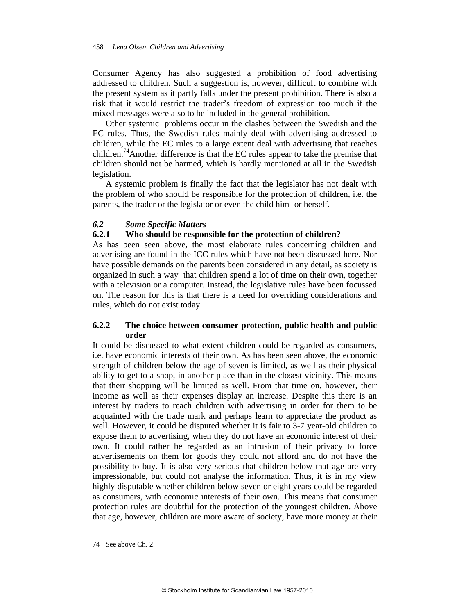Consumer Agency has also suggested a prohibition of food advertising addressed to children. Such a suggestion is, however, difficult to combine with the present system as it partly falls under the present prohibition. There is also a risk that it would restrict the trader's freedom of expression too much if the mixed messages were also to be included in the general prohibition.

Other systemic problems occur in the clashes between the Swedish and the EC rules. Thus, the Swedish rules mainly deal with advertising addressed to children, while the EC rules to a large extent deal with advertising that reaches children.<sup>74</sup>Another difference is that the EC rules appear to take the premise that children should not be harmed, which is hardly mentioned at all in the Swedish legislation.

A systemic problem is finally the fact that the legislator has not dealt with the problem of who should be responsible for the protection of children, i.e. the parents, the trader or the legislator or even the child him- or herself.

#### *6.2 Some Specific Matters*

## **6.2.1 Who should be responsible for the protection of children?**

As has been seen above, the most elaborate rules concerning children and advertising are found in the ICC rules which have not been discussed here. Nor have possible demands on the parents been considered in any detail, as society is organized in such a way that children spend a lot of time on their own, together with a television or a computer. Instead, the legislative rules have been focussed on. The reason for this is that there is a need for overriding considerations and rules, which do not exist today.

## **6.2.2 The choice between consumer protection, public health and public order**

It could be discussed to what extent children could be regarded as consumers, i.e. have economic interests of their own. As has been seen above, the economic strength of children below the age of seven is limited, as well as their physical ability to get to a shop, in another place than in the closest vicinity. This means that their shopping will be limited as well. From that time on, however, their income as well as their expenses display an increase. Despite this there is an interest by traders to reach children with advertising in order for them to be acquainted with the trade mark and perhaps learn to appreciate the product as well. However, it could be disputed whether it is fair to 3-7 year-old children to expose them to advertising, when they do not have an economic interest of their own. It could rather be regarded as an intrusion of their privacy to force advertisements on them for goods they could not afford and do not have the possibility to buy. It is also very serious that children below that age are very impressionable, but could not analyse the information. Thus, it is in my view highly disputable whether children below seven or eight years could be regarded as consumers, with economic interests of their own. This means that consumer protection rules are doubtful for the protection of the youngest children. Above that age, however, children are more aware of society, have more money at their

<sup>74</sup> See above Ch. 2.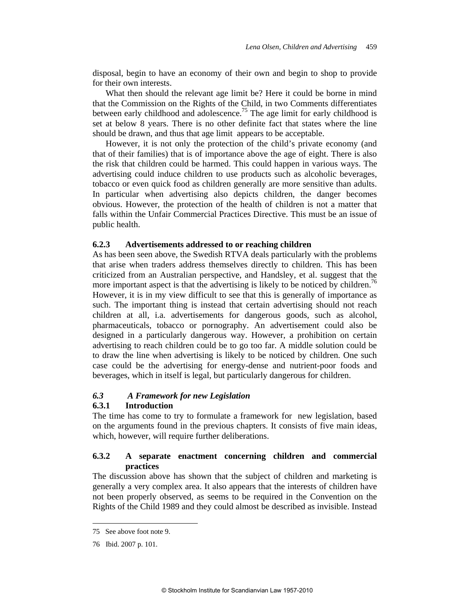disposal, begin to have an economy of their own and begin to shop to provide for their own interests.

What then should the relevant age limit be? Here it could be borne in mind that the Commission on the Rights of the Child, in two Comments differentiates between early childhood and adolescence.<sup>75</sup> The age limit for early childhood is set at below 8 years. There is no other definite fact that states where the line should be drawn, and thus that age limit appears to be acceptable.

However, it is not only the protection of the child's private economy (and that of their families) that is of importance above the age of eight. There is also the risk that children could be harmed. This could happen in various ways. The advertising could induce children to use products such as alcoholic beverages, tobacco or even quick food as children generally are more sensitive than adults. In particular when advertising also depicts children, the danger becomes obvious. However, the protection of the health of children is not a matter that falls within the Unfair Commercial Practices Directive. This must be an issue of public health.

#### **6.2.3 Advertisements addressed to or reaching children**

As has been seen above, the Swedish RTVA deals particularly with the problems that arise when traders address themselves directly to children. This has been criticized from an Australian perspective, and Handsley, et al. suggest that the more important aspect is that the advertising is likely to be noticed by children.<sup>76</sup> However, it is in my view difficult to see that this is generally of importance as such. The important thing is instead that certain advertising should not reach children at all, i.a. advertisements for dangerous goods, such as alcohol, pharmaceuticals, tobacco or pornography. An advertisement could also be designed in a particularly dangerous way. However, a prohibition on certain advertising to reach children could be to go too far. A middle solution could be to draw the line when advertising is likely to be noticed by children. One such case could be the advertising for energy-dense and nutrient-poor foods and beverages, which in itself is legal, but particularly dangerous for children.

## *6.3 A Framework for new Legislation*

#### **6.3.1 Introduction**

The time has come to try to formulate a framework for new legislation, based on the arguments found in the previous chapters. It consists of five main ideas, which, however, will require further deliberations.

## **6.3.2 A separate enactment concerning children and commercial practices**

The discussion above has shown that the subject of children and marketing is generally a very complex area. It also appears that the interests of children have not been properly observed, as seems to be required in the Convention on the Rights of the Child 1989 and they could almost be described as invisible. Instead

<sup>75</sup> See above foot note 9.

<sup>76</sup> Ibid. 2007 p. 101.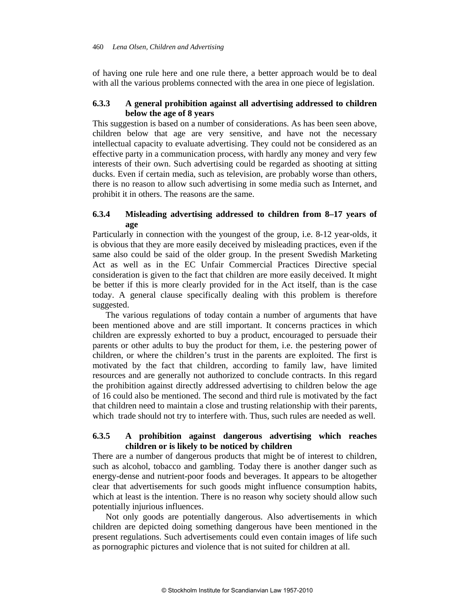of having one rule here and one rule there, a better approach would be to deal with all the various problems connected with the area in one piece of legislation.

## **6.3.3 A general prohibition against all advertising addressed to children below the age of 8 years**

This suggestion is based on a number of considerations. As has been seen above, children below that age are very sensitive, and have not the necessary intellectual capacity to evaluate advertising. They could not be considered as an effective party in a communication process, with hardly any money and very few interests of their own. Such advertising could be regarded as shooting at sitting ducks. Even if certain media, such as television, are probably worse than others, there is no reason to allow such advertising in some media such as Internet, and prohibit it in others. The reasons are the same.

## **6.3.4 Misleading advertising addressed to children from 8–17 years of age**

Particularly in connection with the youngest of the group, i.e. 8-12 year-olds, it is obvious that they are more easily deceived by misleading practices, even if the same also could be said of the older group. In the present Swedish Marketing Act as well as in the EC Unfair Commercial Practices Directive special consideration is given to the fact that children are more easily deceived. It might be better if this is more clearly provided for in the Act itself, than is the case today. A general clause specifically dealing with this problem is therefore suggested.

The various regulations of today contain a number of arguments that have been mentioned above and are still important. It concerns practices in which children are expressly exhorted to buy a product, encouraged to persuade their parents or other adults to buy the product for them, i.e. the pestering power of children, or where the children's trust in the parents are exploited. The first is motivated by the fact that children, according to family law, have limited resources and are generally not authorized to conclude contracts. In this regard the prohibition against directly addressed advertising to children below the age of 16 could also be mentioned. The second and third rule is motivated by the fact that children need to maintain a close and trusting relationship with their parents, which trade should not try to interfere with. Thus, such rules are needed as well.

## **6.3.5 A prohibition against dangerous advertising which reaches children or is likely to be noticed by children**

There are a number of dangerous products that might be of interest to children, such as alcohol, tobacco and gambling. Today there is another danger such as energy-dense and nutrient-poor foods and beverages. It appears to be altogether clear that advertisements for such goods might influence consumption habits, which at least is the intention. There is no reason why society should allow such potentially injurious influences.

Not only goods are potentially dangerous. Also advertisements in which children are depicted doing something dangerous have been mentioned in the present regulations. Such advertisements could even contain images of life such as pornographic pictures and violence that is not suited for children at all.